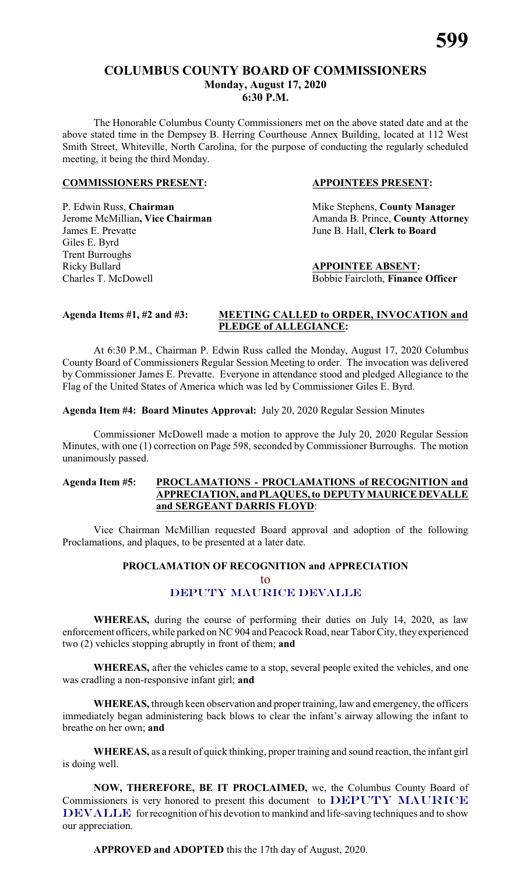# **COLUMBUS COUNTY BOARD OF COMMISSIONERS Monday, August 17, 2020 6:30 P.M.**

The Honorable Columbus County Commissioners met on the above stated date and at the above stated time in the Dempsey B. Herring Courthouse Annex Building, located at 112 West Smith Street, Whiteville, North Carolina, for the purpose of conducting the regularly scheduled meeting, it being the third Monday.

#### **COMMISSIONERS PRESENT: APPOINTEES PRESENT:**

P. Edwin Russ, **Chairman** Mike Stephens, **County Manager** James E. Prevatte June B. Hall, **Clerk to Board** Giles E. Byrd Trent Burroughs Ricky Bullard **APPOINTEE ABSENT:** Charles T. McDowell Bobbie Faircloth, **Finance Officer**

**Jerome McMillian, Vice Chairman** Amanda B. Prince, **County Attorney** 

#### **Agenda Items #1, #2 and #3: MEETING CALLED to ORDER, INVOCATION and PLEDGE of ALLEGIANCE:**

At 6:30 P.M., Chairman P. Edwin Russ called the Monday, August 17, 2020 Columbus County Board of Commissioners Regular Session Meeting to order. The invocation was delivered by Commissioner James E. Prevatte. Everyone in attendance stood and pledged Allegiance to the Flag of the United States of America which was led by Commissioner Giles E. Byrd.

**Agenda Item #4: Board Minutes Approval:** July 20, 2020 Regular Session Minutes

Commissioner McDowell made a motion to approve the July 20, 2020 Regular Session Minutes, with one (1) correction on Page 598, seconded by Commissioner Burroughs. The motion unanimously passed.

#### **Agenda Item #5: PROCLAMATIONS - PROCLAMATIONS of RECOGNITION and APPRECIATION, and PLAQUES,to DEPUTYMAURICEDEVALLE and SERGEANT DARRIS FLOYD**:

Vice Chairman McMillian requested Board approval and adoption of the following Proclamations, and plaques, to be presented at a later date.

#### **PROCLAMATION OF RECOGNITION and APPRECIATION**

to

# *DEPUTY MAURICE DEVALLE*

**WHEREAS,** during the course of performing their duties on July 14, 2020, as law enforcement officers, while parked on NC 904 and Peacock Road, near Tabor City, they experienced two (2) vehicles stopping abruptly in front of them; **and**

**WHEREAS,** after the vehicles came to a stop, several people exited the vehicles, and one was cradling a non-responsive infant girl; **and**

**WHEREAS,** through keen observation and proper training, law and emergency, the officers immediately began administering back blows to clear the infant's airway allowing the infant to breathe on her own; **and**

**WHEREAS,** as a result of quick thinking, proper training and sound reaction, the infant girl is doing well.

**NOW, THEREFORE, BE IT PROCLAIMED,** we, the Columbus County Board of Commissioners is very honored to present this document to *DEPUTY MAURICE* **DEVALLE** for recognition of his devotion to mankind and life-saving techniques and to show our appreciation.

**APPROVED and ADOPTED** this the 17th day of August, 2020.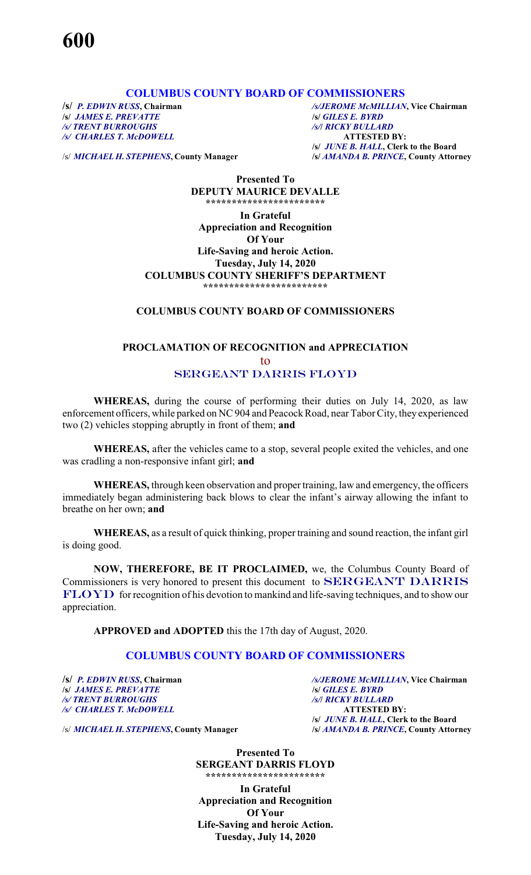#### **COLUMBUS COUNTY BOARD OF COMMISSIONERS**

**/s/** *JAMES E. PREVATTE*<br>**/s/** *TRENT BURROUGHS /s/ CHARLES T. McDOWELL* **ATTESTED BY:**

**/s/** *P. EDWIN RUSS***, Chairman** */s/JEROME McMILLIAN***, Vice Chairman** */s/ TRENT BURROUGHS /s/***/** *RICKY BULLARD* **/s/** *JUNE B. HALL***, Clerk to the Board**

/s/ *MICHAEL H. STEPHENS***, County Manager /s/** *AMANDA B. PRINCE***, County Attorney**

**Presented To DEPUTY MAURICE DEVALLE \*\*\*\*\*\*\*\*\*\*\*\*\*\*\*\*\*\*\*\*\*\*\***

**In Grateful Appreciation and Recognition Of Your Life-Saving and heroic Action. Tuesday, July 14, 2020 COLUMBUS COUNTY SHERIFF'S DEPARTMENT \*\*\*\*\*\*\*\*\*\*\*\*\*\*\*\*\*\*\*\*\*\*\*\***

#### **COLUMBUS COUNTY BOARD OF COMMISSIONERS**

# **PROCLAMATION OF RECOGNITION and APPRECIATION** to *SERGEANT DARRIS FLOYD*

**WHEREAS,** during the course of performing their duties on July 14, 2020, as law enforcement officers, while parked on NC 904 and Peacock Road, near Tabor City, they experienced two (2) vehicles stopping abruptly in front of them; **and**

**WHEREAS,** after the vehicles came to a stop, several people exited the vehicles, and one was cradling a non-responsive infant girl; **and**

**WHEREAS,** through keen observation and proper training, law and emergency, the officers immediately began administering back blows to clear the infant's airway allowing the infant to breathe on her own; **and**

**WHEREAS,** as a result of quick thinking, proper training and sound reaction, the infant girl is doing good.

**NOW, THEREFORE, BE IT PROCLAIMED,** we, the Columbus County Board of Commissioners is very honored to present this document to *SERGEANT DARRIS* **FLOYD** for recognition of his devotion to mankind and life-saving techniques, and to show our appreciation.

**APPROVED and ADOPTED** this the 17th day of August, 2020.

# **COLUMBUS COUNTY BOARD OF COMMISSIONERS**

**/s/** *JAMES E. PREVATTE* **/s/** *GILES E. BYRD /s/ TRENT BURROUGHS /s/***/** *RICKY BULLARD /s/ CHARLES T. McDOWELL* **ATTESTED BY:**

**/s/** *P. EDWIN RUSS***, Chairman** */s/JEROME McMILLIAN***, Vice Chairman /s/** *JUNE B. HALL***, Clerk to the Board**

/s/ *MICHAEL H. STEPHENS***, County Manager /s/** *AMANDA B. PRINCE***, County Attorney**

**Presented To SERGEANT DARRIS FLOYD \*\*\*\*\*\*\*\*\*\*\*\*\*\*\*\*\*\*\*\*\*\*\***

**In Grateful Appreciation and Recognition Of Your Life-Saving and heroic Action. Tuesday, July 14, 2020**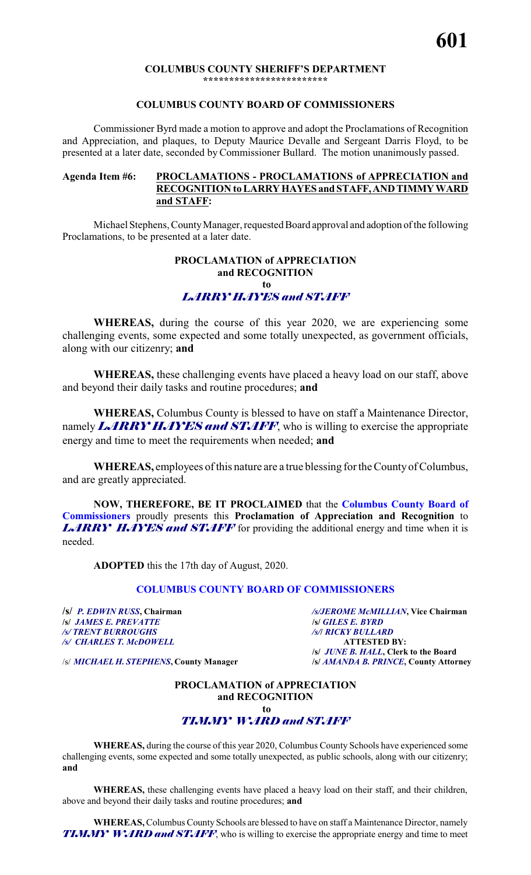#### **COLUMBUS COUNTY SHERIFF'S DEPARTMENT \*\*\*\*\*\*\*\*\*\*\*\*\*\*\*\*\*\*\*\*\*\*\*\***

#### **COLUMBUS COUNTY BOARD OF COMMISSIONERS**

Commissioner Byrd made a motion to approve and adopt the Proclamations of Recognition and Appreciation, and plaques, to Deputy Maurice Devalle and Sergeant Darris Floyd, to be presented at a later date, seconded by Commissioner Bullard. The motion unanimously passed.

#### **Agenda Item #6: PROCLAMATIONS - PROCLAMATIONS of APPRECIATION and RECOGNITION to LARRYHAYES and STAFF,ANDTIMMYWARD and STAFF:**

Michael Stephens, CountyManager, requested Board approval and adoption of the following Proclamations, to be presented at a later date.

#### **PROCLAMATION of APPRECIATION and RECOGNITION to** *LARRY HAYES and STAFF*

**WHEREAS,** during the course of this year 2020, we are experiencing some challenging events, some expected and some totally unexpected, as government officials, along with our citizenry; **and**

**WHEREAS,** these challenging events have placed a heavy load on our staff, above and beyond their daily tasks and routine procedures; **and**

**WHEREAS,** Columbus County is blessed to have on staff a Maintenance Director, namely *LARRY HAYES and STAFF*, who is willing to exercise the appropriate energy and time to meet the requirements when needed; **and**

**WHEREAS,** employees ofthis nature are a true blessing for the CountyofColumbus, and are greatly appreciated.

**NOW, THEREFORE, BE IT PROCLAIMED** that the **Columbus County Board of Commissioners** proudly presents this **Proclamation of Appreciation and Recognition** to *LARRY HAYES and STAFF* for providing the additional energy and time when it is needed.

**ADOPTED** this the 17th day of August, 2020.

#### **COLUMBUS COUNTY BOARD OF COMMISSIONERS**

**/s/** *JAMES E. PREVATTE* **/s/** *GILES E. BYRD /s/ TRENT BURROUGHS /s/***/** *RICKY BULLARD /s/ CHARLES T. McDOWELL* **ATTESTED BY:**

**/s/** *P. EDWIN RUSS***, Chairman** */s/JEROME McMILLIAN***, Vice Chairman /s/** *JUNE B. HALL***, Clerk to the Board**

/s/ *MICHAEL H. STEPHENS***, County Manager /s/** *AMANDA B. PRINCE***, County Attorney**

# **PROCLAMATION of APPRECIATION and RECOGNITION to**

# *TIMMY WARD and STAFF*

**WHEREAS,** during the course of this year 2020, Columbus County Schools have experienced some challenging events, some expected and some totally unexpected, as public schools, along with our citizenry; **and**

**WHEREAS,** these challenging events have placed a heavy load on their staff, and their children, above and beyond their daily tasks and routine procedures; **and**

**WHEREAS,** Columbus County Schools are blessed to have on staff a Maintenance Director, namely *TIMMY WARD and STAFF*, who is willing to exercise the appropriate energy and time to meet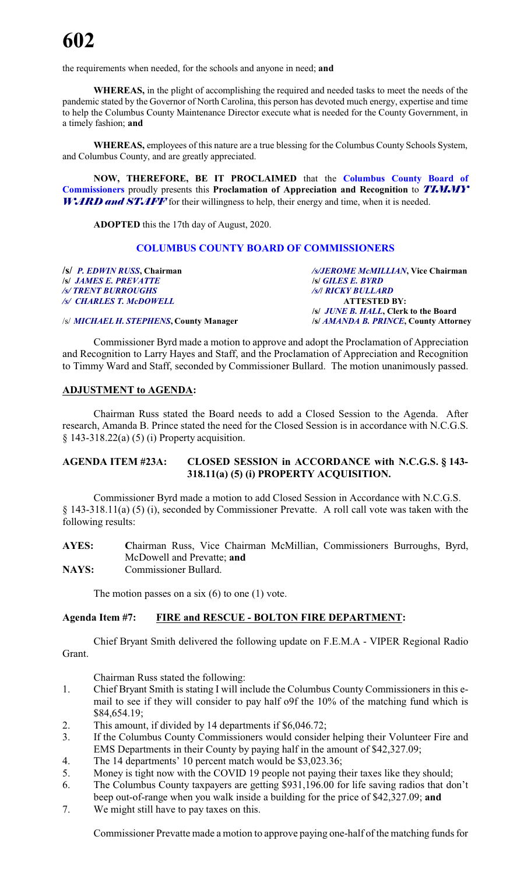the requirements when needed, for the schools and anyone in need; **and**

**WHEREAS,** in the plight of accomplishing the required and needed tasks to meet the needs of the pandemic stated by the Governor of North Carolina, this person has devoted much energy, expertise and time to help the Columbus County Maintenance Director execute what is needed for the County Government, in a timely fashion; **and**

**WHEREAS,** employees of this nature are a true blessing for the Columbus County Schools System, and Columbus County, and are greatly appreciated.

**NOW, THEREFORE, BE IT PROCLAIMED** that the **Columbus County Board of Commissioners** proudly presents this **Proclamation of Appreciation and Recognition** to *TIMMY* **WARD and STAFF** for their willingness to help, their energy and time, when it is needed.

**ADOPTED** this the 17th day of August, 2020.

#### **COLUMBUS COUNTY BOARD OF COMMISSIONERS**

| /s/ P. EDWIN RUSS, Chairman             | /s/JEROME McMILLIAN, Vice Chairman         |
|-----------------------------------------|--------------------------------------------|
| <b>S JAMES E. PREVATTE</b>              | <b>S GILES E. BYRD</b>                     |
| /s/ TRENT BURROUGHS                     | /s/  RICKY BULLARD                         |
| /s/ CHARLES T. McDOWELL                 | <b>ATTESTED BY:</b>                        |
|                                         | <i>s JUNE B. HALL</i> , Clerk to the Board |
| /s/ MICHAEL H. STEPHENS, County Manager | /s/ AMANDA B. PRINCE, County Attorney      |

Commissioner Byrd made a motion to approve and adopt the Proclamation of Appreciation and Recognition to Larry Hayes and Staff, and the Proclamation of Appreciation and Recognition to Timmy Ward and Staff, seconded by Commissioner Bullard. The motion unanimously passed.

#### **ADJUSTMENT to AGENDA:**

Chairman Russ stated the Board needs to add a Closed Session to the Agenda. After research, Amanda B. Prince stated the need for the Closed Session is in accordance with N.C.G.S. § 143-318.22(a) (5) (i) Property acquisition.

#### **AGENDA ITEM #23A: CLOSED SESSION in ACCORDANCE with N.C.G.S. § 143- 318.11(a) (5) (i) PROPERTY ACQUISITION.**

Commissioner Byrd made a motion to add Closed Session in Accordance with N.C.G.S. § 143-318.11(a) (5) (i), seconded by Commissioner Prevatte. A roll call vote was taken with the following results:

| <b>AYES:</b> |                            |  |  | Chairman Russ, Vice Chairman McMillian, Commissioners Burroughs, Byrd, |  |
|--------------|----------------------------|--|--|------------------------------------------------------------------------|--|
|              | McDowell and Prevatte; and |  |  |                                                                        |  |
| NAYS:        | Commissioner Bullard.      |  |  |                                                                        |  |

The motion passes on a six  $(6)$  to one  $(1)$  vote.

#### **Agenda Item #7: FIRE and RESCUE - BOLTON FIRE DEPARTMENT:**

Chief Bryant Smith delivered the following update on F.E.M.A - VIPER Regional Radio Grant.

Chairman Russ stated the following:

- 1. Chief Bryant Smith is stating I will include the Columbus County Commissioners in this email to see if they will consider to pay half o9f the 10% of the matching fund which is \$84,654.19;
- 2. This amount, if divided by 14 departments if \$6,046.72;
- 3. If the Columbus County Commissioners would consider helping their Volunteer Fire and EMS Departments in their County by paying half in the amount of \$42,327.09;
- 4. The 14 departments' 10 percent match would be \$3,023.36;
- 5. Money is tight now with the COVID 19 people not paying their taxes like they should;
- 6. The Columbus County taxpayers are getting \$931,196.00 for life saving radios that don't beep out-of-range when you walk inside a building for the price of \$42,327.09; **and**
- 7. We might still have to pay taxes on this.

Commissioner Prevatte made a motion to approve paying one-half of the matching funds for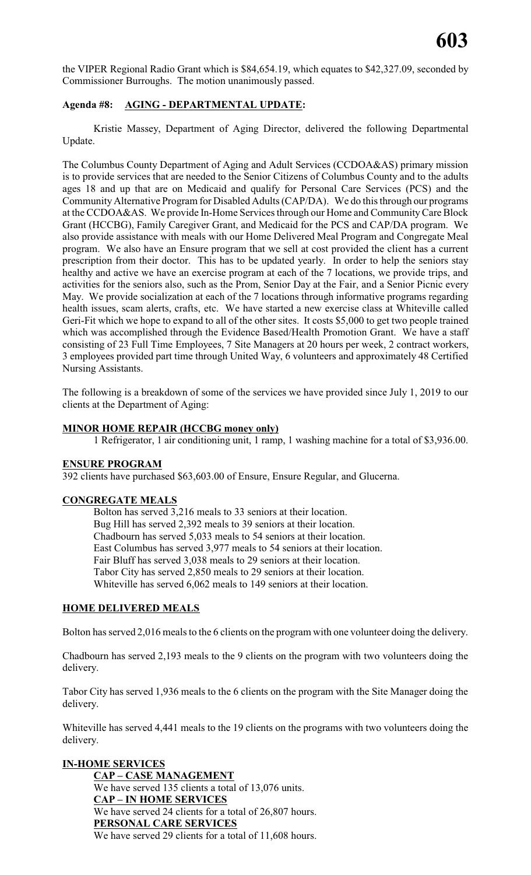the VIPER Regional Radio Grant which is \$84,654.19, which equates to \$42,327.09, seconded by Commissioner Burroughs. The motion unanimously passed.

### **Agenda #8: AGING - DEPARTMENTAL UPDATE:**

Kristie Massey, Department of Aging Director, delivered the following Departmental Update.

The Columbus County Department of Aging and Adult Services (CCDOA&AS) primary mission is to provide services that are needed to the Senior Citizens of Columbus County and to the adults ages 18 and up that are on Medicaid and qualify for Personal Care Services (PCS) and the CommunityAlternative Program for Disabled Adults (CAP/DA). We do this through our programs at the CCDOA&AS. We provide In-Home Services through our Home and CommunityCare Block Grant (HCCBG), Family Caregiver Grant, and Medicaid for the PCS and CAP/DA program. We also provide assistance with meals with our Home Delivered Meal Program and Congregate Meal program. We also have an Ensure program that we sell at cost provided the client has a current prescription from their doctor. This has to be updated yearly. In order to help the seniors stay healthy and active we have an exercise program at each of the 7 locations, we provide trips, and activities for the seniors also, such as the Prom, Senior Day at the Fair, and a Senior Picnic every May. We provide socialization at each of the 7 locations through informative programs regarding health issues, scam alerts, crafts, etc. We have started a new exercise class at Whiteville called Geri-Fit which we hope to expand to all of the other sites. It costs \$5,000 to get two people trained which was accomplished through the Evidence Based/Health Promotion Grant. We have a staff consisting of 23 Full Time Employees, 7 Site Managers at 20 hours per week, 2 contract workers, 3 employees provided part time through United Way, 6 volunteers and approximately 48 Certified Nursing Assistants.

The following is a breakdown of some of the services we have provided since July 1, 2019 to our clients at the Department of Aging:

# **MINOR HOME REPAIR (HCCBG money only)**

1 Refrigerator, 1 air conditioning unit, 1 ramp, 1 washing machine for a total of \$3,936.00.

#### **ENSURE PROGRAM**

392 clients have purchased \$63,603.00 of Ensure, Ensure Regular, and Glucerna.

#### **CONGREGATE MEALS**

Bolton has served 3,216 meals to 33 seniors at their location. Bug Hill has served 2,392 meals to 39 seniors at their location. Chadbourn has served 5,033 meals to 54 seniors at their location. East Columbus has served 3,977 meals to 54 seniors at their location. Fair Bluff has served 3,038 meals to 29 seniors at their location. Tabor City has served 2,850 meals to 29 seniors at their location. Whiteville has served 6,062 meals to 149 seniors at their location.

#### **HOME DELIVERED MEALS**

Bolton has served 2,016 meals to the 6 clients on the program with one volunteer doing the delivery.

Chadbourn has served 2,193 meals to the 9 clients on the program with two volunteers doing the delivery.

Tabor City has served 1,936 meals to the 6 clients on the program with the Site Manager doing the delivery.

Whiteville has served 4,441 meals to the 19 clients on the programs with two volunteers doing the delivery.

# **IN-HOME SERVICES**

**CAP – CASE MANAGEMENT** We have served 135 clients a total of 13,076 units. **CAP – IN HOME SERVICES** We have served 24 clients for a total of 26,807 hours. **PERSONAL CARE SERVICES** We have served 29 clients for a total of 11,608 hours.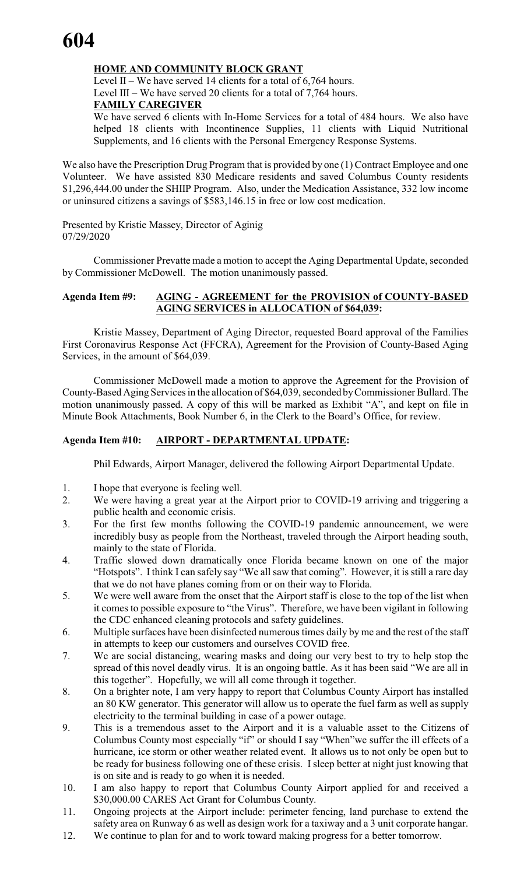# **HOME AND COMMUNITY BLOCK GRANT**

Level II – We have served 14 clients for a total of 6,764 hours. Level III – We have served 20 clients for a total of 7,764 hours. **FAMILY CAREGIVER**

We have served 6 clients with In-Home Services for a total of 484 hours. We also have helped 18 clients with Incontinence Supplies, 11 clients with Liquid Nutritional Supplements, and 16 clients with the Personal Emergency Response Systems.

We also have the Prescription Drug Program that is provided by one (1) Contract Employee and one Volunteer. We have assisted 830 Medicare residents and saved Columbus County residents \$1,296,444.00 under the SHIIP Program. Also, under the Medication Assistance, 332 low income or uninsured citizens a savings of \$583,146.15 in free or low cost medication.

Presented by Kristie Massey, Director of Aginig 07/29/2020

Commissioner Prevatte made a motion to accept the Aging Departmental Update, seconded by Commissioner McDowell. The motion unanimously passed.

### **Agenda Item #9: AGING - AGREEMENT for the PROVISION of COUNTY-BASED AGING SERVICES in ALLOCATION of \$64,039:**

Kristie Massey, Department of Aging Director, requested Board approval of the Families First Coronavirus Response Act (FFCRA), Agreement for the Provision of County-Based Aging Services, in the amount of \$64,039.

Commissioner McDowell made a motion to approve the Agreement for the Provision of County-Based Aging Services in the allocation of \$64,039, seconded byCommissioner Bullard. The motion unanimously passed. A copy of this will be marked as Exhibit "A", and kept on file in Minute Book Attachments, Book Number 6, in the Clerk to the Board's Office, for review.

# **Agenda Item #10: AIRPORT - DEPARTMENTAL UPDATE:**

Phil Edwards, Airport Manager, delivered the following Airport Departmental Update.

- 1. I hope that everyone is feeling well.
- 2. We were having a great year at the Airport prior to COVID-19 arriving and triggering a public health and economic crisis.
- 3. For the first few months following the COVID-19 pandemic announcement, we were incredibly busy as people from the Northeast, traveled through the Airport heading south, mainly to the state of Florida.
- 4. Traffic slowed down dramatically once Florida became known on one of the major "Hotspots". I think I can safely say "We all saw that coming". However, it is still a rare day that we do not have planes coming from or on their way to Florida.
- 5. We were well aware from the onset that the Airport staff is close to the top of the list when it comes to possible exposure to "the Virus". Therefore, we have been vigilant in following the CDC enhanced cleaning protocols and safety guidelines.
- 6. Multiple surfaces have been disinfected numerous times daily by me and the rest of the staff in attempts to keep our customers and ourselves COVID free.
- 7. We are social distancing, wearing masks and doing our very best to try to help stop the spread of this novel deadly virus. It is an ongoing battle. As it has been said "We are all in this together". Hopefully, we will all come through it together.
- 8. On a brighter note, I am very happy to report that Columbus County Airport has installed an 80 KW generator. This generator will allow us to operate the fuel farm as well as supply electricity to the terminal building in case of a power outage.
- 9. This is a tremendous asset to the Airport and it is a valuable asset to the Citizens of Columbus County most especially "if" or should I say "When"we suffer the ill effects of a hurricane, ice storm or other weather related event. It allows us to not only be open but to be ready for business following one of these crisis. I sleep better at night just knowing that is on site and is ready to go when it is needed.
- 10. I am also happy to report that Columbus County Airport applied for and received a \$30,000.00 CARES Act Grant for Columbus County.
- 11. Ongoing projects at the Airport include: perimeter fencing, land purchase to extend the safety area on Runway 6 as well as design work for a taxiway and a 3 unit corporate hangar.
- 12. We continue to plan for and to work toward making progress for a better tomorrow.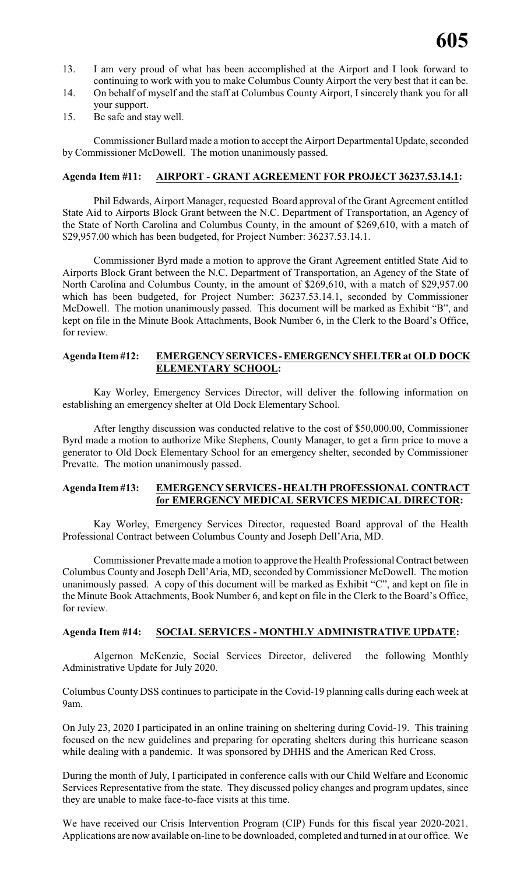- 13. I am very proud of what has been accomplished at the Airport and I look forward to continuing to work with you to make Columbus County Airport the very best that it can be.
- 14. On behalf of myself and the staff at Columbus County Airport, I sincerely thank you for all your support.
- 15. Be safe and stay well.

Commissioner Bullard made a motion to accept the Airport Departmental Update, seconded by Commissioner McDowell. The motion unanimously passed.

### **Agenda Item #11: AIRPORT - GRANT AGREEMENT FOR PROJECT 36237.53.14.1:**

Phil Edwards, Airport Manager, requested Board approval of the Grant Agreement entitled State Aid to Airports Block Grant between the N.C. Department of Transportation, an Agency of the State of North Carolina and Columbus County, in the amount of \$269,610, with a match of \$29,957.00 which has been budgeted, for Project Number: 36237.53.14.1.

Commissioner Byrd made a motion to approve the Grant Agreement entitled State Aid to Airports Block Grant between the N.C. Department of Transportation, an Agency of the State of North Carolina and Columbus County, in the amount of \$269,610, with a match of \$29,957.00 which has been budgeted, for Project Number: 36237.53.14.1, seconded by Commissioner McDowell. The motion unanimously passed. This document will be marked as Exhibit "B", and kept on file in the Minute Book Attachments, Book Number 6, in the Clerk to the Board's Office, for review.

#### **Agenda Item#12: EMERGENCYSERVICES-EMERGENCYSHELTERat OLD DOCK ELEMENTARY SCHOOL:**

Kay Worley, Emergency Services Director, will deliver the following information on establishing an emergency shelter at Old Dock Elementary School.

After lengthy discussion was conducted relative to the cost of \$50,000.00, Commissioner Byrd made a motion to authorize Mike Stephens, County Manager, to get a firm price to move a generator to Old Dock Elementary School for an emergency shelter, seconded by Commissioner Prevatte. The motion unanimously passed.

#### **Agenda Item#13: EMERGENCYSERVICES -HEALTH PROFESSIONAL CONTRACT for EMERGENCY MEDICAL SERVICES MEDICAL DIRECTOR:**

Kay Worley, Emergency Services Director, requested Board approval of the Health Professional Contract between Columbus County and Joseph Dell'Aria, MD.

Commissioner Prevatte made a motion to approve the Health Professional Contract between Columbus County and Joseph Dell'Aria, MD, seconded by Commissioner McDowell. The motion unanimously passed. A copy of this document will be marked as Exhibit "C", and kept on file in the Minute Book Attachments, Book Number 6, and kept on file in the Clerk to the Board's Office, for review.

#### **Agenda Item #14: SOCIAL SERVICES - MONTHLY ADMINISTRATIVE UPDATE:**

Algernon McKenzie, Social Services Director, delivered the following Monthly Administrative Update for July 2020.

Columbus County DSS continues to participate in the Covid-19 planning calls during each week at 9am.

On July 23, 2020 I participated in an online training on sheltering during Covid-19. This training focused on the new guidelines and preparing for operating shelters during this hurricane season while dealing with a pandemic. It was sponsored by DHHS and the American Red Cross.

During the month of July, I participated in conference calls with our Child Welfare and Economic Services Representative from the state. They discussed policy changes and program updates, since they are unable to make face-to-face visits at this time.

We have received our Crisis Intervention Program (CIP) Funds for this fiscal year 2020-2021. Applications are now available on-line to be downloaded, completed and turned in at our office. We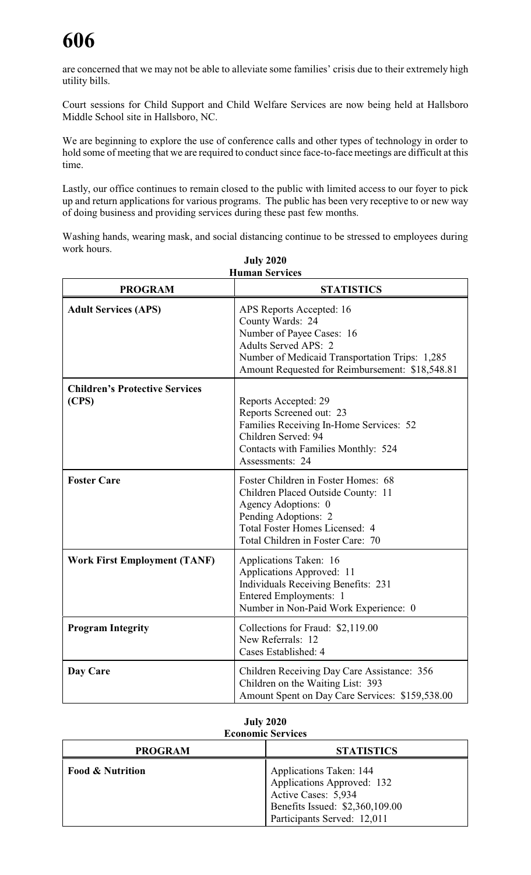# **606**

are concerned that we may not be able to alleviate some families' crisis due to their extremely high utility bills.

Court sessions for Child Support and Child Welfare Services are now being held at Hallsboro Middle School site in Hallsboro, NC.

We are beginning to explore the use of conference calls and other types of technology in order to hold some of meeting that we are required to conduct since face-to-face meetings are difficult at this time.

Lastly, our office continues to remain closed to the public with limited access to our foyer to pick up and return applications for various programs. The public has been very receptive to or new way of doing business and providing services during these past few months.

Washing hands, wearing mask, and social distancing continue to be stressed to employees during work hours.

| <b>July 2020</b><br><b>Human Services</b>      |                                                                                                                                                                                                               |  |  |  |
|------------------------------------------------|---------------------------------------------------------------------------------------------------------------------------------------------------------------------------------------------------------------|--|--|--|
| <b>PROGRAM</b>                                 | <b>STATISTICS</b>                                                                                                                                                                                             |  |  |  |
| <b>Adult Services (APS)</b>                    | APS Reports Accepted: 16<br>County Wards: 24<br>Number of Payee Cases: 16<br><b>Adults Served APS: 2</b><br>Number of Medicaid Transportation Trips: 1,285<br>Amount Requested for Reimbursement: \$18,548.81 |  |  |  |
| <b>Children's Protective Services</b><br>(CPS) | Reports Accepted: 29<br>Reports Screened out: 23<br>Families Receiving In-Home Services: 52<br>Children Served: 94<br>Contacts with Families Monthly: 524<br>Assessments: 24                                  |  |  |  |
| <b>Foster Care</b>                             | Foster Children in Foster Homes: 68<br>Children Placed Outside County: 11<br>Agency Adoptions: 0<br>Pending Adoptions: 2<br>Total Foster Homes Licensed: 4<br>Total Children in Foster Care: 70               |  |  |  |
| <b>Work First Employment (TANF)</b>            | Applications Taken: 16<br>Applications Approved: 11<br><b>Individuals Receiving Benefits: 231</b><br>Entered Employments: 1<br>Number in Non-Paid Work Experience: 0                                          |  |  |  |
| <b>Program Integrity</b>                       | Collections for Fraud: \$2,119.00<br>New Referrals: 12<br>Cases Established: 4                                                                                                                                |  |  |  |
| Day Care                                       | Children Receiving Day Care Assistance: 356<br>Children on the Waiting List: 393<br>Amount Spent on Day Care Services: \$159,538.00                                                                           |  |  |  |

| <b>July 2020</b>         |
|--------------------------|
| <b>Economic Services</b> |

| <b>PROGRAM</b>              | <b>STATISTICS</b>                                                                                                                                     |
|-----------------------------|-------------------------------------------------------------------------------------------------------------------------------------------------------|
| <b>Food &amp; Nutrition</b> | <b>Applications Taken: 144</b><br>Applications Approved: 132<br>Active Cases: 5,934<br>Benefits Issued: \$2,360,109.00<br>Participants Served: 12,011 |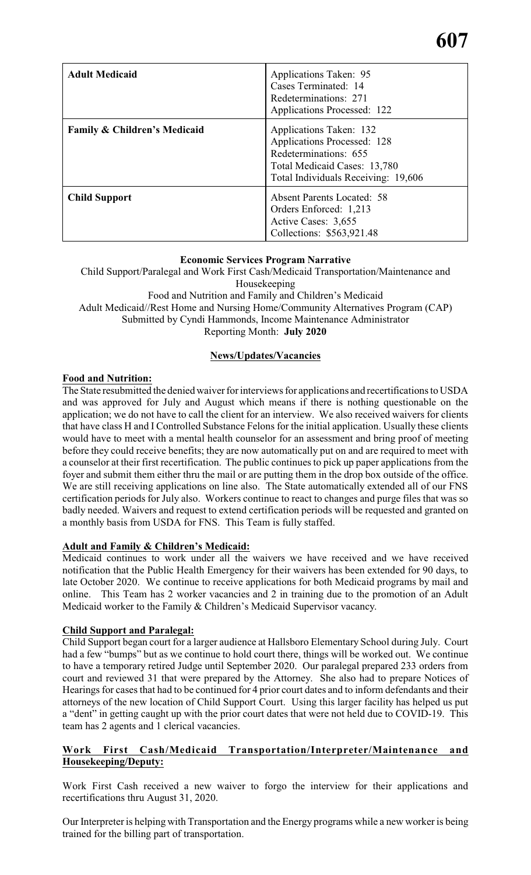| <b>Adult Medicaid</b>                   | Applications Taken: 95<br>Cases Terminated: 14<br>Redeterminations: 271<br><b>Applications Processed: 122</b>                                          |
|-----------------------------------------|--------------------------------------------------------------------------------------------------------------------------------------------------------|
| <b>Family &amp; Children's Medicaid</b> | Applications Taken: 132<br>Applications Processed: 128<br>Redeterminations: 655<br>Total Medicaid Cases: 13,780<br>Total Individuals Receiving: 19,606 |
| <b>Child Support</b>                    | <b>Absent Parents Located: 58</b><br>Orders Enforced: 1,213<br>Active Cases: 3,655<br>Collections: \$563,921.48                                        |

# **Economic Services Program Narrative**

Child Support/Paralegal and Work First Cash/Medicaid Transportation/Maintenance and Housekeeping Food and Nutrition and Family and Children's Medicaid Adult Medicaid//Rest Home and Nursing Home/Community Alternatives Program (CAP) Submitted by Cyndi Hammonds, Income Maintenance Administrator Reporting Month: **July 2020**

# **News/Updates/Vacancies**

# **Food and Nutrition:**

The State resubmitted the denied waiver for interviews for applications and recertifications to USDA and was approved for July and August which means if there is nothing questionable on the application; we do not have to call the client for an interview. We also received waivers for clients that have class H and I Controlled Substance Felons for the initial application. Usually these clients would have to meet with a mental health counselor for an assessment and bring proof of meeting before they could receive benefits; they are now automatically put on and are required to meet with a counselor at their first recertification. The public continues to pick up paper applications from the foyer and submit them either thru the mail or are putting them in the drop box outside of the office. We are still receiving applications on line also. The State automatically extended all of our FNS certification periods for July also. Workers continue to react to changes and purge files that was so badly needed. Waivers and request to extend certification periods will be requested and granted on a monthly basis from USDA for FNS. This Team is fully staffed.

# **Adult and Family & Children's Medicaid:**

Medicaid continues to work under all the waivers we have received and we have received notification that the Public Health Emergency for their waivers has been extended for 90 days, to late October 2020. We continue to receive applications for both Medicaid programs by mail and online. This Team has 2 worker vacancies and 2 in training due to the promotion of an Adult Medicaid worker to the Family & Children's Medicaid Supervisor vacancy.

#### **Child Support and Paralegal:**

Child Support began court for a larger audience at Hallsboro Elementary School during July. Court had a few "bumps" but as we continue to hold court there, things will be worked out. We continue to have a temporary retired Judge until September 2020. Our paralegal prepared 233 orders from court and reviewed 31 that were prepared by the Attorney. She also had to prepare Notices of Hearings for cases that had to be continued for 4 prior court dates and to inform defendants and their attorneys of the new location of Child Support Court. Using this larger facility has helped us put a "dent" in getting caught up with the prior court dates that were not held due to COVID-19. This team has 2 agents and 1 clerical vacancies.

# **Work First Cash/Medicaid Transportation/Interpreter/Maintenance and Housekeeping/Deputy:**

Work First Cash received a new waiver to forgo the interview for their applications and recertifications thru August 31, 2020.

Our Interpreter is helping with Transportation and the Energy programs while a new worker is being trained for the billing part of transportation.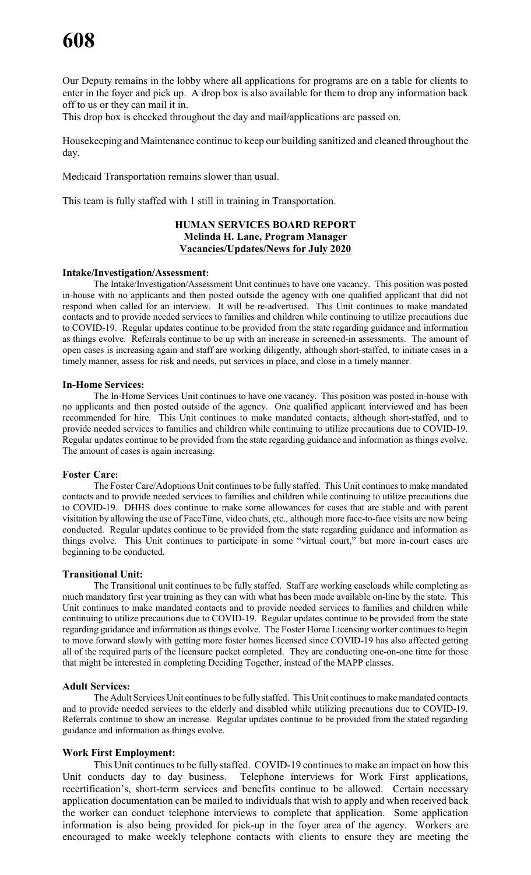Our Deputy remains in the lobby where all applications for programs are on a table for clients to enter in the foyer and pick up. A drop box is also available for them to drop any information back off to us or they can mail it in.

This drop box is checked throughout the day and mail/applications are passed on.

Housekeeping and Maintenance continue to keep our building sanitized and cleaned throughout the day.

Medicaid Transportation remains slower than usual.

This team is fully staffed with 1 still in training in Transportation.

#### **HUMAN SERVICES BOARD REPORT Melinda H. Lane, Program Manager Vacancies/Updates/News for July 2020**

#### **Intake/Investigation/Assessment:**

The Intake/Investigation/Assessment Unit continues to have one vacancy. This position was posted in-house with no applicants and then posted outside the agency with one qualified applicant that did not respond when called for an interview. It will be re-advertised. This Unit continues to make mandated contacts and to provide needed services to families and children while continuing to utilize precautions due to COVID-19. Regular updates continue to be provided from the state regarding guidance and information as things evolve. Referrals continue to be up with an increase in screened-in assessments. The amount of open cases is increasing again and staff are working diligently, although short-staffed, to initiate cases in a timely manner, assess for risk and needs, put services in place, and close in a timely manner.

#### **In-Home Services:**

The In-Home Services Unit continues to have one vacancy. This position was posted in-house with no applicants and then posted outside of the agency. One qualified applicant interviewed and has been recommended for hire. This Unit continues to make mandated contacts, although short-staffed, and to provide needed services to families and children while continuing to utilize precautions due to COVID-19. Regular updates continue to be provided from the state regarding guidance and information as things evolve. The amount of cases is again increasing.

#### **Foster Care:**

The Foster Care/Adoptions Unit continues to be fully staffed. This Unit continues to make mandated contacts and to provide needed services to families and children while continuing to utilize precautions due to COVID-19. DHHS does continue to make some allowances for cases that are stable and with parent visitation by allowing the use of FaceTime, video chats, etc., although more face-to-face visits are now being conducted. Regular updates continue to be provided from the state regarding guidance and information as things evolve. This Unit continues to participate in some "virtual court," but more in-court cases are beginning to be conducted.

#### **Transitional Unit:**

The Transitional unit continues to be fully staffed. Staff are working caseloads while completing as much mandatory first year training as they can with what has been made available on-line by the state. This Unit continues to make mandated contacts and to provide needed services to families and children while continuing to utilize precautions due to COVID-19. Regular updates continue to be provided from the state regarding guidance and information as things evolve. The Foster Home Licensing worker continues to begin to move forward slowly with getting more foster homes licensed since COVID-19 has also affected getting all of the required parts of the licensure packet completed. They are conducting one-on-one time for those that might be interested in completing Deciding Together, instead of the MAPP classes.

#### **Adult Services:**

The Adult Services Unit continuesto be fully staffed. This Unit continuesto make mandated contacts and to provide needed services to the elderly and disabled while utilizing precautions due to COVID-19. Referrals continue to show an increase. Regular updates continue to be provided from the stated regarding guidance and information as things evolve.

#### **Work First Employment:**

This Unit continues to be fully staffed. COVID-19 continues to make an impact on how this Unit conducts day to day business. Telephone interviews for Work First applications, recertification's, short-term services and benefits continue to be allowed. Certain necessary application documentation can be mailed to individuals that wish to apply and when received back the worker can conduct telephone interviews to complete that application. Some application information is also being provided for pick-up in the foyer area of the agency. Workers are encouraged to make weekly telephone contacts with clients to ensure they are meeting the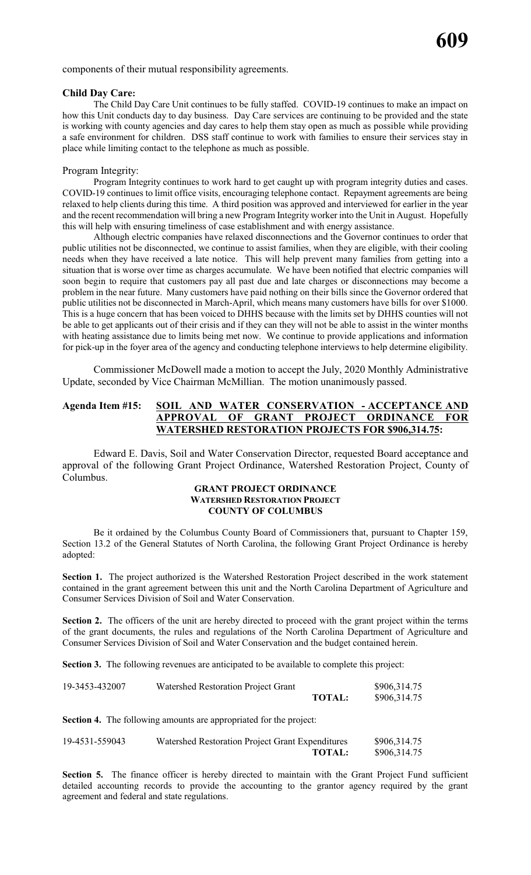components of their mutual responsibility agreements.

#### **Child Day Care:**

The Child Day Care Unit continues to be fully staffed. COVID-19 continues to make an impact on how this Unit conducts day to day business. Day Care services are continuing to be provided and the state is working with county agencies and day cares to help them stay open as much as possible while providing a safe environment for children. DSS staff continue to work with families to ensure their services stay in place while limiting contact to the telephone as much as possible.

#### Program Integrity:

Program Integrity continues to work hard to get caught up with program integrity duties and cases. COVID-19 continues to limit office visits, encouraging telephone contact. Repayment agreements are being relaxed to help clients during this time. A third position was approved and interviewed for earlier in the year and the recent recommendation will bring a new Program Integrity worker into the Unit in August. Hopefully this will help with ensuring timeliness of case establishment and with energy assistance.

Although electric companies have relaxed disconnections and the Governor continues to order that public utilities not be disconnected, we continue to assist families, when they are eligible, with their cooling needs when they have received a late notice. This will help prevent many families from getting into a situation that is worse over time as charges accumulate. We have been notified that electric companies will soon begin to require that customers pay all past due and late charges or disconnections may become a problem in the near future. Many customers have paid nothing on their bills since the Governor ordered that public utilities not be disconnected in March-April, which means many customers have bills for over \$1000. This is a huge concern that has been voiced to DHHS because with the limits set by DHHS counties will not be able to get applicants out of their crisis and if they can they will not be able to assist in the winter months with heating assistance due to limits being met now. We continue to provide applications and information for pick-up in the foyer area of the agency and conducting telephone interviews to help determine eligibility.

Commissioner McDowell made a motion to accept the July, 2020 Monthly Administrative Update, seconded by Vice Chairman McMillian. The motion unanimously passed.

### **Agenda Item #15: SOIL AND WATER CONSERVATION - ACCEPTANCE AND APPROVAL OF GRANT PROJECT ORDINANCE FOR WATERSHED RESTORATION PROJECTS FOR \$906,314.75:**

Edward E. Davis, Soil and Water Conservation Director, requested Board acceptance and approval of the following Grant Project Ordinance, Watershed Restoration Project, County of Columbus.

#### **GRANT PROJECT ORDINANCE WATERSHED RESTORATION PROJECT COUNTY OF COLUMBUS**

Be it ordained by the Columbus County Board of Commissioners that, pursuant to Chapter 159, Section 13.2 of the General Statutes of North Carolina, the following Grant Project Ordinance is hereby adopted:

**Section 1.** The project authorized is the Watershed Restoration Project described in the work statement contained in the grant agreement between this unit and the North Carolina Department of Agriculture and Consumer Services Division of Soil and Water Conservation.

**Section 2.** The officers of the unit are hereby directed to proceed with the grant project within the terms of the grant documents, the rules and regulations of the North Carolina Department of Agriculture and Consumer Services Division of Soil and Water Conservation and the budget contained herein.

**Section 3.** The following revenues are anticipated to be available to complete this project:

| 19-3453-432007 | Watershed Restoration Project Grant |               | \$906,314.75 |
|----------------|-------------------------------------|---------------|--------------|
|                |                                     | <b>TOTAL:</b> | \$906,314.75 |

**Section 4.** The following amounts are appropriated for the project:

| 19-4531-559043 | Watershed Restoration Project Grant Expenditures | \$906,314.75 |
|----------------|--------------------------------------------------|--------------|
|                | <b>TOTAL:</b>                                    | \$906,314.75 |

**Section 5.** The finance officer is hereby directed to maintain with the Grant Project Fund sufficient detailed accounting records to provide the accounting to the grantor agency required by the grant agreement and federal and state regulations.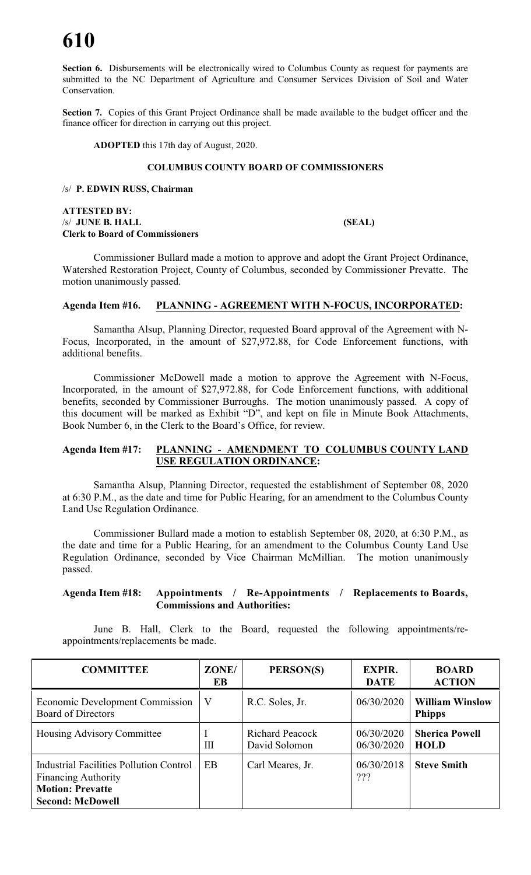# **610**

**Section 6.** Disbursements will be electronically wired to Columbus County as request for payments are submitted to the NC Department of Agriculture and Consumer Services Division of Soil and Water Conservation.

Section 7. Copies of this Grant Project Ordinance shall be made available to the budget officer and the finance officer for direction in carrying out this project.

**ADOPTED** this 17th day of August, 2020.

#### **COLUMBUS COUNTY BOARD OF COMMISSIONERS**

/s/ **P. EDWIN RUSS, Chairman**

**ATTESTED BY:** /s/ **JUNE B. HALL (SEAL) Clerk to Board of Commissioners**

Commissioner Bullard made a motion to approve and adopt the Grant Project Ordinance, Watershed Restoration Project, County of Columbus, seconded by Commissioner Prevatte. The motion unanimously passed.

#### **Agenda Item #16. PLANNING - AGREEMENT WITH N-FOCUS, INCORPORATED:**

Samantha Alsup, Planning Director, requested Board approval of the Agreement with N-Focus, Incorporated, in the amount of \$27,972.88, for Code Enforcement functions, with additional benefits.

Commissioner McDowell made a motion to approve the Agreement with N-Focus, Incorporated, in the amount of \$27,972.88, for Code Enforcement functions, with additional benefits, seconded by Commissioner Burroughs. The motion unanimously passed. A copy of this document will be marked as Exhibit "D", and kept on file in Minute Book Attachments, Book Number 6, in the Clerk to the Board's Office, for review.

#### **Agenda Item #17: PLANNING - AMENDMENT TO COLUMBUS COUNTY LAND USE REGULATION ORDINANCE:**

Samantha Alsup, Planning Director, requested the establishment of September 08, 2020 at 6:30 P.M., as the date and time for Public Hearing, for an amendment to the Columbus County Land Use Regulation Ordinance.

Commissioner Bullard made a motion to establish September 08, 2020, at 6:30 P.M., as the date and time for a Public Hearing, for an amendment to the Columbus County Land Use Regulation Ordinance, seconded by Vice Chairman McMillian. The motion unanimously passed.

#### **Agenda Item #18: Appointments / Re-Appointments / Replacements to Boards, Commissions and Authorities:**

June B. Hall, Clerk to the Board, requested the following appointments/reappointments/replacements be made.

| <b>COMMITTEE</b>                                                                                                            | ZONE/<br>EB | PERSON(S)                        | <b>EXPIR.</b><br><b>DATE</b> | <b>BOARD</b><br><b>ACTION</b>           |
|-----------------------------------------------------------------------------------------------------------------------------|-------------|----------------------------------|------------------------------|-----------------------------------------|
| <b>Economic Development Commission</b><br><b>Board of Directors</b>                                                         | $\rm V$     | R.C. Soles, Jr.                  | 06/30/2020                   | <b>William Winslow</b><br><b>Phipps</b> |
| Housing Advisory Committee                                                                                                  | Ш           | Richard Peacock<br>David Solomon | 06/30/2020<br>06/30/2020     | <b>Sherica Powell</b><br><b>HOLD</b>    |
| Industrial Facilities Pollution Control<br><b>Financing Authority</b><br><b>Motion: Prevatte</b><br><b>Second: McDowell</b> | EB          | Carl Meares, Jr.                 | 06/30/2018<br>???            | <b>Steve Smith</b>                      |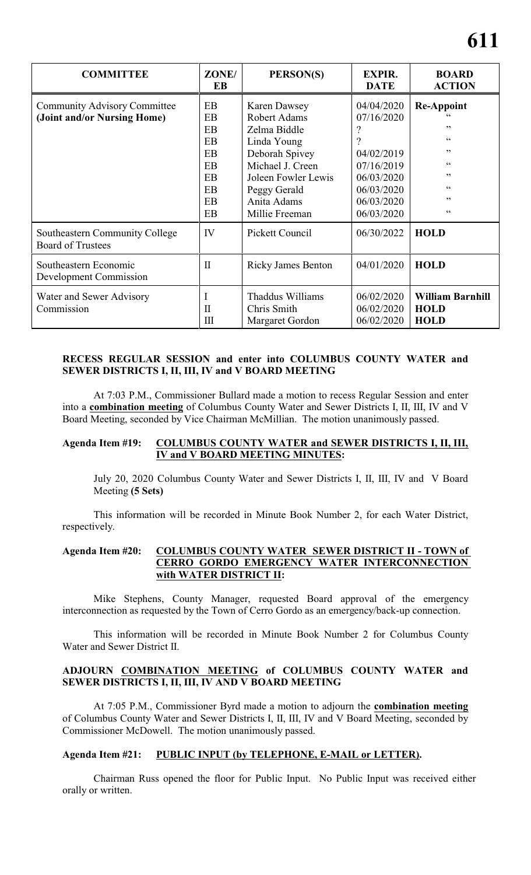| <b>COMMITTEE</b>                                                   | ZONE/<br>EB                                                                                               | PERSON(S)                                                                                                                                                                               | <b>EXPIR.</b><br><b>DATE</b>                                                                                      | <b>BOARD</b><br><b>ACTION</b>                                     |
|--------------------------------------------------------------------|-----------------------------------------------------------------------------------------------------------|-----------------------------------------------------------------------------------------------------------------------------------------------------------------------------------------|-------------------------------------------------------------------------------------------------------------------|-------------------------------------------------------------------|
| <b>Community Advisory Committee</b><br>(Joint and/or Nursing Home) | <b>EB</b><br>EB<br><b>EB</b><br>EB<br><b>EB</b><br><b>EB</b><br><b>EB</b><br>EB<br><b>EB</b><br><b>EB</b> | <b>Karen Dawsey</b><br><b>Robert Adams</b><br>Zelma Biddle<br>Linda Young<br>Deborah Spivey<br>Michael J. Creen<br>Joleen Fowler Lewis<br>Peggy Gerald<br>Anita Adams<br>Millie Freeman | 04/04/2020<br>07/16/2020<br>9<br>04/02/2019<br>07/16/2019<br>06/03/2020<br>06/03/2020<br>06/03/2020<br>06/03/2020 | <b>Re-Appoint</b><br>,,<br>66<br>,,<br>66<br>,,<br>66<br>,,<br>66 |
| Southeastern Community College<br><b>Board of Trustees</b>         | IV                                                                                                        | <b>Pickett Council</b>                                                                                                                                                                  | 06/30/2022                                                                                                        | <b>HOLD</b>                                                       |
| Southeastern Economic<br>Development Commission                    | $\mathbf{I}$                                                                                              | <b>Ricky James Benton</b>                                                                                                                                                               | 04/01/2020                                                                                                        | <b>HOLD</b>                                                       |
| Water and Sewer Advisory<br>Commission                             | $\mathbf{I}$<br>III                                                                                       | Thaddus Williams<br>Chris Smith<br>Margaret Gordon                                                                                                                                      | 06/02/2020<br>06/02/2020<br>06/02/2020                                                                            | <b>William Barnhill</b><br><b>HOLD</b><br><b>HOLD</b>             |

### **RECESS REGULAR SESSION and enter into COLUMBUS COUNTY WATER and SEWER DISTRICTS I, II, III, IV and V BOARD MEETING**

At 7:03 P.M., Commissioner Bullard made a motion to recess Regular Session and enter into a **combination meeting** of Columbus County Water and Sewer Districts I, II, III, IV and V Board Meeting, seconded by Vice Chairman McMillian. The motion unanimously passed.

#### **Agenda Item #19: COLUMBUS COUNTY WATER and SEWER DISTRICTS I, II, III, IV and V BOARD MEETING MINUTES:**

July 20, 2020 Columbus County Water and Sewer Districts I, II, III, IV and V Board Meeting **(5 Sets)**

This information will be recorded in Minute Book Number 2, for each Water District, respectively.

#### **Agenda Item #20: COLUMBUS COUNTY WATER SEWER DISTRICT II - TOWN of CERRO GORDO EMERGENCY WATER INTERCONNECTION with WATER DISTRICT II:**

Mike Stephens, County Manager, requested Board approval of the emergency interconnection as requested by the Town of Cerro Gordo as an emergency/back-up connection.

This information will be recorded in Minute Book Number 2 for Columbus County Water and Sewer District II.

#### **ADJOURN COMBINATION MEETING of COLUMBUS COUNTY WATER and SEWER DISTRICTS I, II, III, IV AND V BOARD MEETING**

At 7:05 P.M., Commissioner Byrd made a motion to adjourn the **combination meeting** of Columbus County Water and Sewer Districts I, II, III, IV and V Board Meeting, seconded by Commissioner McDowell. The motion unanimously passed.

#### **Agenda Item #21: PUBLIC INPUT (by TELEPHONE, E-MAIL or LETTER).**

Chairman Russ opened the floor for Public Input. No Public Input was received either orally or written.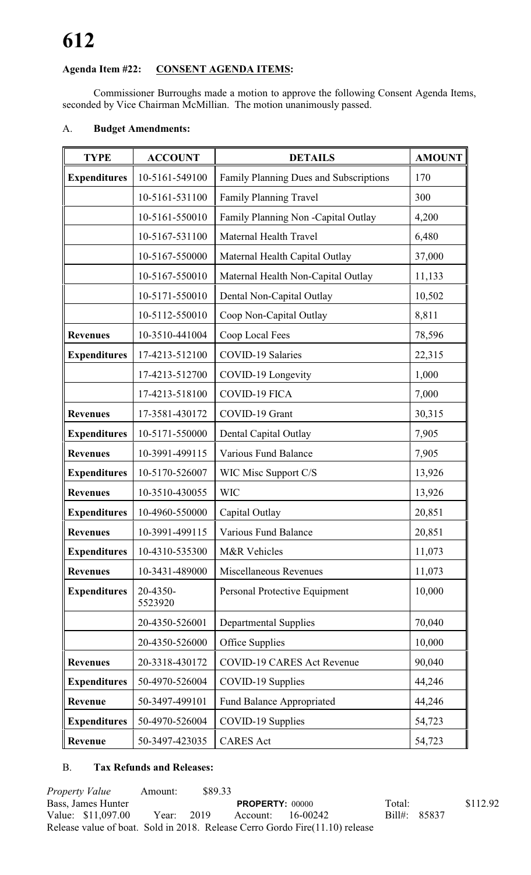# **Agenda Item #22: CONSENT AGENDA ITEMS:**

Commissioner Burroughs made a motion to approve the following Consent Agenda Items, seconded by Vice Chairman McMillian. The motion unanimously passed.

# A. **Budget Amendments:**

| <b>TYPE</b>         | <b>ACCOUNT</b>      | <b>DETAILS</b>                         | <b>AMOUNT</b> |
|---------------------|---------------------|----------------------------------------|---------------|
| <b>Expenditures</b> | 10-5161-549100      | Family Planning Dues and Subscriptions | 170           |
|                     | 10-5161-531100      | Family Planning Travel                 | 300           |
|                     | 10-5161-550010      | Family Planning Non -Capital Outlay    | 4,200         |
|                     | 10-5167-531100      | Maternal Health Travel                 | 6,480         |
|                     | 10-5167-550000      | Maternal Health Capital Outlay         | 37,000        |
|                     | 10-5167-550010      | Maternal Health Non-Capital Outlay     | 11,133        |
|                     | 10-5171-550010      | Dental Non-Capital Outlay              | 10,502        |
|                     | 10-5112-550010      | Coop Non-Capital Outlay                | 8,811         |
| <b>Revenues</b>     | 10-3510-441004      | Coop Local Fees                        | 78,596        |
| <b>Expenditures</b> | 17-4213-512100      | <b>COVID-19 Salaries</b>               | 22,315        |
|                     | 17-4213-512700      | COVID-19 Longevity                     | 1,000         |
|                     | 17-4213-518100      | <b>COVID-19 FICA</b>                   | 7,000         |
| <b>Revenues</b>     | 17-3581-430172      | COVID-19 Grant                         | 30,315        |
| <b>Expenditures</b> | 10-5171-550000      | Dental Capital Outlay                  | 7,905         |
| <b>Revenues</b>     | 10-3991-499115      | Various Fund Balance                   | 7,905         |
| <b>Expenditures</b> | 10-5170-526007      | WIC Misc Support C/S                   | 13,926        |
| <b>Revenues</b>     | 10-3510-430055      | <b>WIC</b>                             | 13,926        |
| <b>Expenditures</b> | 10-4960-550000      | Capital Outlay                         | 20,851        |
| <b>Revenues</b>     | 10-3991-499115      | Various Fund Balance                   | 20,851        |
| <b>Expenditures</b> | 10-4310-535300      | M&R Vehicles                           | 11,073        |
| <b>Revenues</b>     | 10-3431-489000      | Miscellaneous Revenues                 | 11,073        |
| <b>Expenditures</b> | 20-4350-<br>5523920 | Personal Protective Equipment          | 10,000        |
|                     | 20-4350-526001      | <b>Departmental Supplies</b>           | 70,040        |
|                     | 20-4350-526000      | Office Supplies                        | 10,000        |
| <b>Revenues</b>     | 20-3318-430172      | <b>COVID-19 CARES Act Revenue</b>      | 90,040        |
| <b>Expenditures</b> | 50-4970-526004      | COVID-19 Supplies                      | 44,246        |
| Revenue             | 50-3497-499101      | <b>Fund Balance Appropriated</b>       | 44,246        |
| <b>Expenditures</b> | 50-4970-526004      | COVID-19 Supplies                      | 54,723        |
| Revenue             | 50-3497-423035      | <b>CARES</b> Act                       | 54,723        |

# B. **Tax Refunds and Releases:**

*Property Value* Amount: \$89.33 Bass, James Hunter **PROPERTY:** 00000 Total: \$112.92<br>Value: \$11,097.00 Year: 2019 Account: 16-00242 Bill#: 85837 Value: \$11,097.00 Year: 2019 Account: 16-00242 Bill#: 85837 Release value of boat. Sold in 2018. Release Cerro Gordo Fire(11.10) release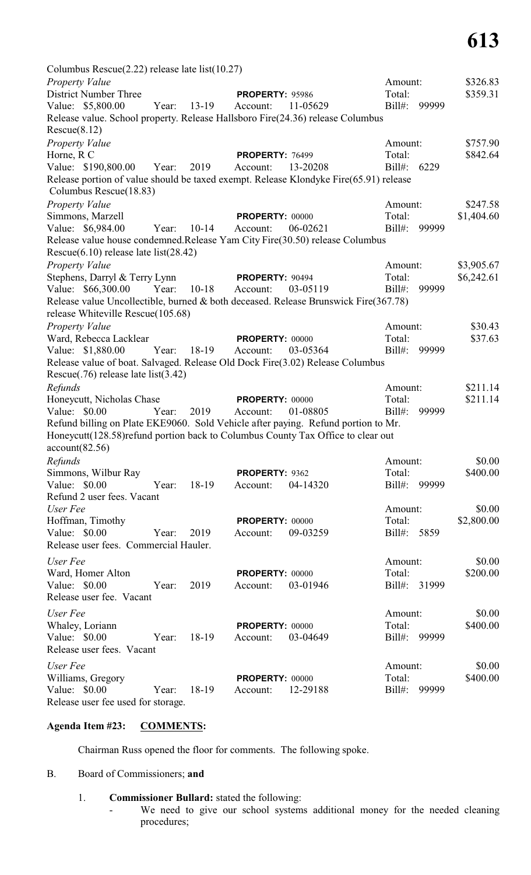| Columbus Rescue $(2.22)$ release late list $(10.27)$                                                                        |       |           |                        |          |           |       |            |
|-----------------------------------------------------------------------------------------------------------------------------|-------|-----------|------------------------|----------|-----------|-------|------------|
| Property Value                                                                                                              |       |           |                        |          | Amount:   |       | \$326.83   |
| <b>District Number Three</b>                                                                                                |       |           | <b>PROPERTY: 95986</b> |          | Total:    |       | \$359.31   |
| Value: \$5,800.00                                                                                                           | Year: | $13-19$   | Account:               | 11-05629 | $Bill#$ : | 99999 |            |
| Release value. School property. Release Hallsboro Fire(24.36) release Columbus                                              |       |           |                        |          |           |       |            |
| Rescue(8.12)                                                                                                                |       |           |                        |          |           |       |            |
| Property Value                                                                                                              |       |           |                        |          | Amount:   |       | \$757.90   |
| Horne, R C                                                                                                                  |       |           | PROPERTY: 76499        |          | Total:    |       | \$842.64   |
| Value: \$190,800.00                                                                                                         | Year: | 2019      | Account:               | 13-20208 | $Bill#$ : | 6229  |            |
| Release portion of value should be taxed exempt. Release Klondyke Fire(65.91) release<br>Columbus Rescue(18.83)             |       |           |                        |          |           |       |            |
| Property Value                                                                                                              |       |           |                        |          | Amount:   |       | \$247.58   |
| Simmons, Marzell                                                                                                            |       |           | <b>PROPERTY: 00000</b> |          | Total:    |       | \$1,404.60 |
| Value: \$6,984.00                                                                                                           | Year: | $10-14$   | Account:               | 06-02621 | $Bill#$ : | 99999 |            |
| Release value house condemned. Release Yam City Fire(30.50) release Columbus<br>Rescue $(6.10)$ release late list $(28.42)$ |       |           |                        |          |           |       |            |
| <b>Property Value</b>                                                                                                       |       |           |                        |          | Amount:   |       | \$3,905.67 |
| Stephens, Darryl & Terry Lynn                                                                                               |       |           | <b>PROPERTY: 90494</b> |          | Total:    |       | \$6,242.61 |
| Value: \$66,300.00                                                                                                          | Year: | $10 - 18$ | Account:               | 03-05119 | $Bill#$ : | 99999 |            |
| Release value Uncollectible, burned & both deceased. Release Brunswick Fire(367.78)<br>release Whiteville Rescue(105.68)    |       |           |                        |          |           |       |            |
| Property Value                                                                                                              |       |           |                        |          | Amount:   |       | \$30.43    |
| Ward, Rebecca Lacklear                                                                                                      |       |           | PROPERTY: 00000        |          | Total:    |       | \$37.63    |
| Value: \$1,880.00                                                                                                           | Year: | 18-19     | Account:               | 03-05364 | $Bill#$ : | 99999 |            |
| Release value of boat. Salvaged. Release Old Dock Fire(3.02) Release Columbus                                               |       |           |                        |          |           |       |            |
| Rescue $(.76)$ release late list $(3.42)$                                                                                   |       |           |                        |          |           |       |            |
| Refunds                                                                                                                     |       |           |                        |          | Amount:   |       | \$211.14   |
| Honeycutt, Nicholas Chase                                                                                                   |       |           | <b>PROPERTY: 00000</b> |          | Total:    |       | \$211.14   |
| Value: \$0.00                                                                                                               | Year: | 2019      | Account:               | 01-08805 | $Bill#$ : | 99999 |            |
| Refund billing on Plate EKE9060. Sold Vehicle after paying. Refund portion to Mr.                                           |       |           |                        |          |           |       |            |
| Honeycutt (128.58) refund portion back to Columbus County Tax Office to clear out<br>account(82.56)                         |       |           |                        |          |           |       |            |
| Refunds                                                                                                                     |       |           |                        |          | Amount:   |       | \$0.00     |
| Simmons, Wilbur Ray                                                                                                         |       |           | PROPERTY: 9362         |          | Total:    |       | \$400.00   |
| Value: \$0.00                                                                                                               | Year: | 18-19     | Account:               | 04-14320 | $Bill#$ : | 99999 |            |
| Refund 2 user fees. Vacant                                                                                                  |       |           |                        |          |           |       |            |
| User Fee                                                                                                                    |       |           |                        |          | Amount:   |       | \$0.00     |
| Hoffman, Timothy                                                                                                            |       |           | <b>PROPERTY: 00000</b> |          | Total:    |       | \$2,800.00 |
| Value: \$0.00                                                                                                               | Year: | 2019      | Account:               | 09-03259 | Bill#:    | 5859  |            |
| Release user fees. Commercial Hauler.                                                                                       |       |           |                        |          |           |       |            |
| User Fee                                                                                                                    |       |           |                        |          | Amount:   |       | \$0.00     |
| Ward, Homer Alton                                                                                                           |       |           | PROPERTY: 00000        |          | Total:    |       | \$200.00   |
| Value: \$0.00                                                                                                               | Year: | 2019      | Account:               | 03-01946 | $Bill#$ : | 31999 |            |
| Release user fee. Vacant                                                                                                    |       |           |                        |          |           |       |            |
| User Fee                                                                                                                    |       |           |                        |          | Amount:   |       | \$0.00     |
| Whaley, Loriann                                                                                                             |       |           | PROPERTY: 00000        |          | Total:    |       | \$400.00   |
| Value: \$0.00                                                                                                               | Year: | 18-19     | Account:               | 03-04649 | Bill#:    | 99999 |            |
| Release user fees. Vacant                                                                                                   |       |           |                        |          |           |       |            |
| User Fee                                                                                                                    |       |           |                        |          | Amount:   |       | \$0.00     |
| Williams, Gregory                                                                                                           |       |           | PROPERTY: 00000        |          | Total:    |       | \$400.00   |
| Value: \$0.00                                                                                                               | Year: | 18-19     | Account:               | 12-29188 | Bill#:    | 99999 |            |
| Release user fee used for storage.                                                                                          |       |           |                        |          |           |       |            |

# **Agenda Item #23: COMMENTS:**

Chairman Russ opened the floor for comments. The following spoke.

# B. Board of Commissioners; **and**

- 1. **Commissioner Bullard:** stated the following:
	- We need to give our school systems additional money for the needed cleaning procedures;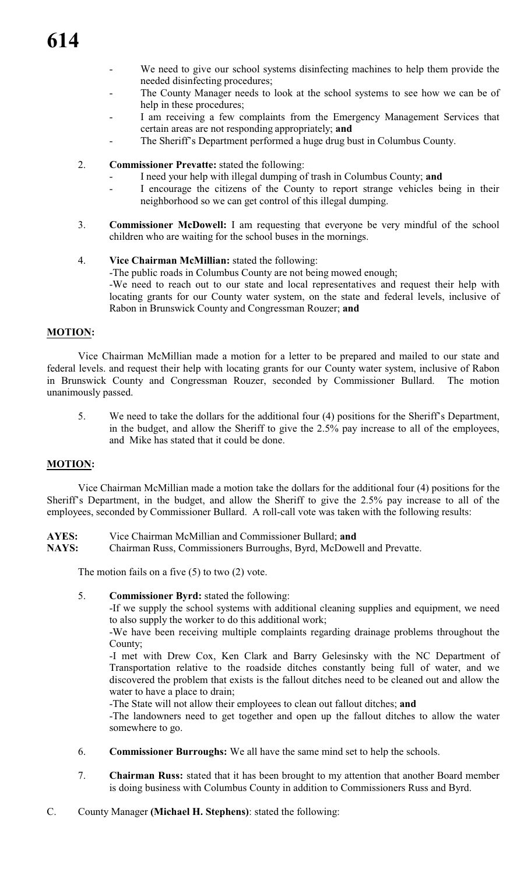- We need to give our school systems disinfecting machines to help them provide the needed disinfecting procedures;
- The County Manager needs to look at the school systems to see how we can be of help in these procedures;
- I am receiving a few complaints from the Emergency Management Services that certain areas are not responding appropriately; **and**
- The Sheriff's Department performed a huge drug bust in Columbus County.
- 2. **Commissioner Prevatte:** stated the following:
	- I need your help with illegal dumping of trash in Columbus County; **and**
	- I encourage the citizens of the County to report strange vehicles being in their neighborhood so we can get control of this illegal dumping.
- 3. **Commissioner McDowell:** I am requesting that everyone be very mindful of the school children who are waiting for the school buses in the mornings.
- 4. **Vice Chairman McMillian:** stated the following: -The public roads in Columbus County are not being mowed enough; -We need to reach out to our state and local representatives and request their help with locating grants for our County water system, on the state and federal levels, inclusive of Rabon in Brunswick County and Congressman Rouzer; **and**

# **MOTION:**

Vice Chairman McMillian made a motion for a letter to be prepared and mailed to our state and federal levels. and request their help with locating grants for our County water system, inclusive of Rabon in Brunswick County and Congressman Rouzer, seconded by Commissioner Bullard. The motion unanimously passed.

5. We need to take the dollars for the additional four (4) positions for the Sheriff's Department, in the budget, and allow the Sheriff to give the 2.5% pay increase to all of the employees, and Mike has stated that it could be done.

#### **MOTION:**

Vice Chairman McMillian made a motion take the dollars for the additional four (4) positions for the Sheriff's Department, in the budget, and allow the Sheriff to give the 2.5% pay increase to all of the employees, seconded by Commissioner Bullard. A roll-call vote was taken with the following results:

- **AYES:** Vice Chairman McMillian and Commissioner Bullard; **and**
- **NAYS:** Chairman Russ, Commissioners Burroughs, Byrd, McDowell and Prevatte.

The motion fails on a five (5) to two (2) vote.

5. **Commissioner Byrd:** stated the following:

-If we supply the school systems with additional cleaning supplies and equipment, we need to also supply the worker to do this additional work;

-We have been receiving multiple complaints regarding drainage problems throughout the County;

-I met with Drew Cox, Ken Clark and Barry Gelesinsky with the NC Department of Transportation relative to the roadside ditches constantly being full of water, and we discovered the problem that exists is the fallout ditches need to be cleaned out and allow the water to have a place to drain;

-The State will not allow their employees to clean out fallout ditches; **and**

-The landowners need to get together and open up the fallout ditches to allow the water somewhere to go.

- 6. **Commissioner Burroughs:** We all have the same mind set to help the schools.
- 7. **Chairman Russ:** stated that it has been brought to my attention that another Board member is doing business with Columbus County in addition to Commissioners Russ and Byrd.
- C. County Manager **(Michael H. Stephens)**: stated the following: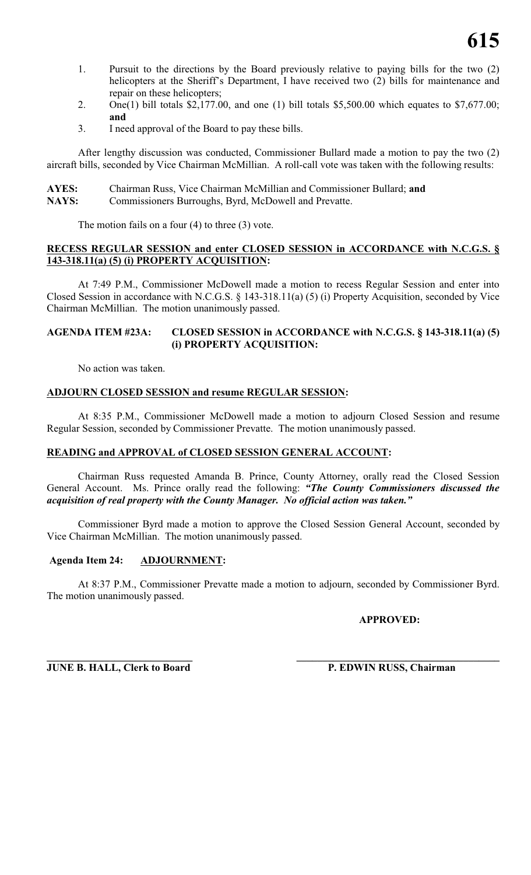- 1. Pursuit to the directions by the Board previously relative to paying bills for the two (2) helicopters at the Sheriff's Department, I have received two (2) bills for maintenance and repair on these helicopters;
- 2. One(1) bill totals  $$2,177.00$ , and one (1) bill totals  $$5,500.00$  which equates to  $$7,677.00$ ; **and**
- 3. I need approval of the Board to pay these bills.

After lengthy discussion was conducted, Commissioner Bullard made a motion to pay the two (2) aircraft bills, seconded by Vice Chairman McMillian. A roll-call vote was taken with the following results:

| <b>AYES:</b> | Chairman Russ, Vice Chairman McMillian and Commissioner Bullard; and |
|--------------|----------------------------------------------------------------------|
| <b>NAYS:</b> | Commissioners Burroughs, Byrd, McDowell and Prevatte.                |

The motion fails on a four (4) to three (3) vote.

# **RECESS REGULAR SESSION and enter CLOSED SESSION in ACCORDANCE with N.C.G.S. § 143-318.11(a) (5) (i) PROPERTY ACQUISITION:**

At 7:49 P.M., Commissioner McDowell made a motion to recess Regular Session and enter into Closed Session in accordance with N.C.G.S. § 143-318.11(a) (5) (i) Property Acquisition, seconded by Vice Chairman McMillian. The motion unanimously passed.

### **AGENDA ITEM #23A: CLOSED SESSION in ACCORDANCE with N.C.G.S. § 143-318.11(a) (5) (i) PROPERTY ACQUISITION:**

No action was taken.

# **ADJOURN CLOSED SESSION and resume REGULAR SESSION:**

At 8:35 P.M., Commissioner McDowell made a motion to adjourn Closed Session and resume Regular Session, seconded by Commissioner Prevatte. The motion unanimously passed.

# **READING and APPROVAL of CLOSED SESSION GENERAL ACCOUNT:**

Chairman Russ requested Amanda B. Prince, County Attorney, orally read the Closed Session General Account. Ms. Prince orally read the following: *"The County Commissioners discussed the acquisition of real property with the County Manager. No official action was taken."*

Commissioner Byrd made a motion to approve the Closed Session General Account, seconded by Vice Chairman McMillian. The motion unanimously passed.

# **Agenda Item 24: ADJOURNMENT:**

At 8:37 P.M., Commissioner Prevatte made a motion to adjourn, seconded by Commissioner Byrd. The motion unanimously passed.

**APPROVED:**

**\_\_\_\_\_\_\_\_\_\_\_\_\_\_\_\_\_\_\_\_\_\_\_\_\_\_\_\_ \_\_\_\_\_\_\_\_\_\_\_\_\_\_\_\_\_\_\_\_\_\_\_\_\_\_\_\_\_\_\_\_\_\_\_\_\_\_\_ JUNE B. HALL, Clerk to Board P. EDWIN RUSS, Chairman**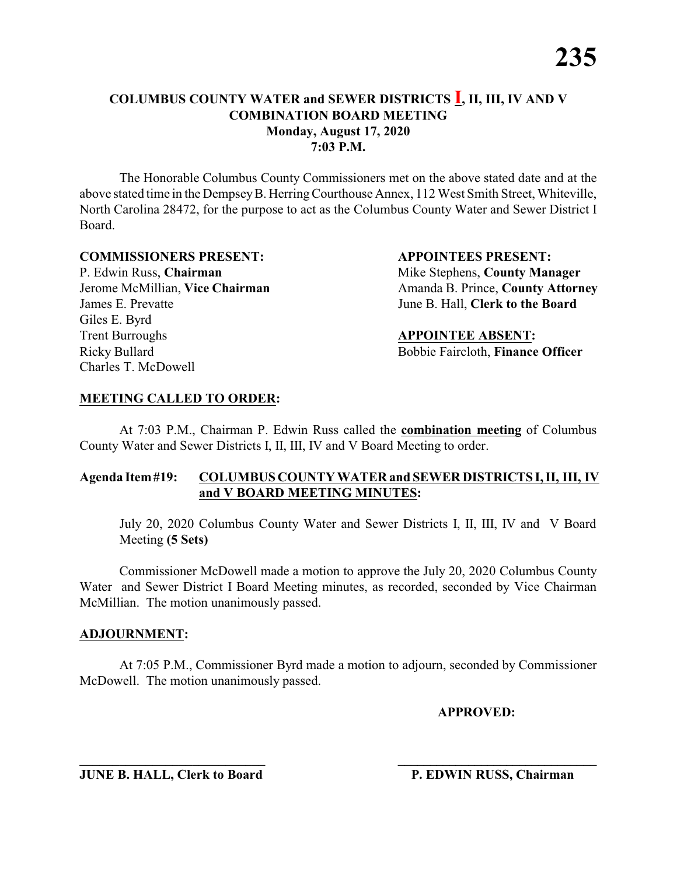The Honorable Columbus County Commissioners met on the above stated date and at the above stated time in the DempseyB. HerringCourthouse Annex, 112 West Smith Street, Whiteville, North Carolina 28472, for the purpose to act as the Columbus County Water and Sewer District I Board.

#### **COMMISSIONERS PRESENT: APPOINTEES PRESENT:**

P. Edwin Russ, **Chairman** Mike Stephens, **County Manager** James E. Prevatte June B. Hall, **Clerk to the Board** Giles E. Byrd **Trent Burroughs APPOINTEE ABSENT:** Ricky Bullard Bobbie Faircloth, **Finance Officer** Charles T. McDowell

Jerome McMillian, **Vice Chairman** Amanda B. Prince, **County Attorney** 

# **MEETING CALLED TO ORDER:**

At 7:03 P.M., Chairman P. Edwin Russ called the **combination meeting** of Columbus County Water and Sewer Districts I, II, III, IV and V Board Meeting to order.

### **Agenda Item#19: COLUMBUS COUNTY WATER and SEWER DISTRICTS I, II, III, IV and V BOARD MEETING MINUTES:**

July 20, 2020 Columbus County Water and Sewer Districts I, II, III, IV and V Board Meeting **(5 Sets)**

Commissioner McDowell made a motion to approve the July 20, 2020 Columbus County Water and Sewer District I Board Meeting minutes, as recorded, seconded by Vice Chairman McMillian. The motion unanimously passed.

### **ADJOURNMENT:**

At 7:05 P.M., Commissioner Byrd made a motion to adjourn, seconded by Commissioner McDowell. The motion unanimously passed.

**\_\_\_\_\_\_\_\_\_\_\_\_\_\_\_\_\_\_\_\_\_\_\_\_\_\_\_\_ \_\_\_\_\_\_\_\_\_\_\_\_\_\_\_\_\_\_\_\_\_\_\_\_\_\_\_\_\_\_\_**

**APPROVED:**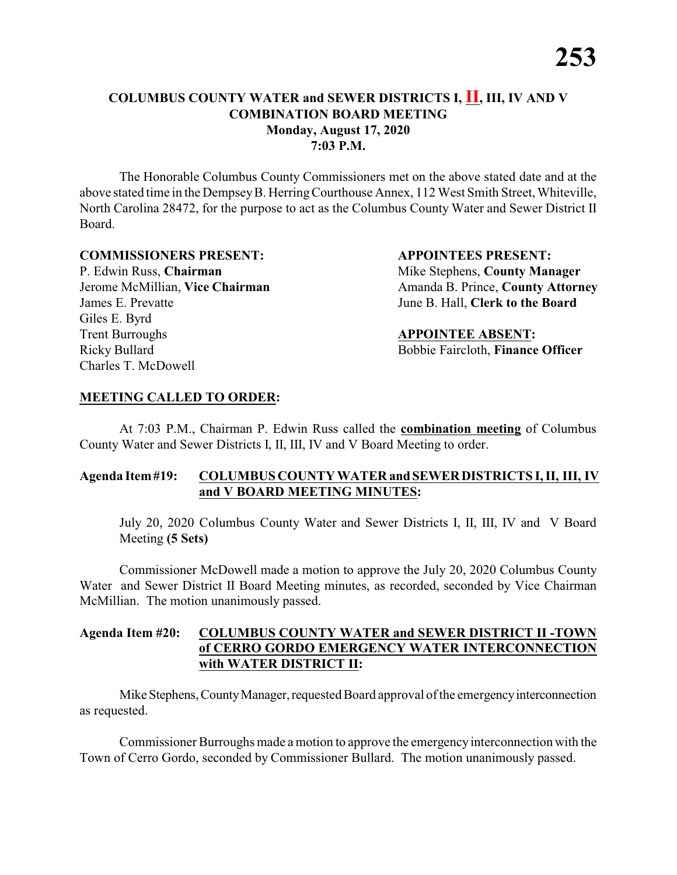The Honorable Columbus County Commissioners met on the above stated date and at the above stated time in the DempseyB. HerringCourthouse Annex, 112 West Smith Street, Whiteville, North Carolina 28472, for the purpose to act as the Columbus County Water and Sewer District II Board.

#### **COMMISSIONERS PRESENT: APPOINTEES PRESENT:**

P. Edwin Russ, **Chairman** Mike Stephens, **County Manager** James E. Prevatte June B. Hall, **Clerk to the Board** Giles E. Byrd **Trent Burroughs APPOINTEE ABSENT:** Ricky Bullard Bobbie Faircloth, **Finance Officer** Charles T. McDowell

Jerome McMillian, Vice Chairman Amanda B. Prince, County Attorney

### **MEETING CALLED TO ORDER:**

At 7:03 P.M., Chairman P. Edwin Russ called the **combination meeting** of Columbus County Water and Sewer Districts I, II, III, IV and V Board Meeting to order.

### **Agenda Item#19: COLUMBUS COUNTY WATER andSEWERDISTRICTS I, II, III, IV and V BOARD MEETING MINUTES:**

July 20, 2020 Columbus County Water and Sewer Districts I, II, III, IV and V Board Meeting **(5 Sets)**

Commissioner McDowell made a motion to approve the July 20, 2020 Columbus County Water and Sewer District II Board Meeting minutes, as recorded, seconded by Vice Chairman McMillian. The motion unanimously passed.

### **Agenda Item #20: COLUMBUS COUNTY WATER and SEWER DISTRICT II -TOWN of CERRO GORDO EMERGENCY WATER INTERCONNECTION with WATER DISTRICT II:**

Mike Stephens, County Manager, requested Board approval of the emergency interconnection as requested.

Commissioner Burroughs made a motion to approve the emergencyinterconnection with the Town of Cerro Gordo, seconded by Commissioner Bullard. The motion unanimously passed.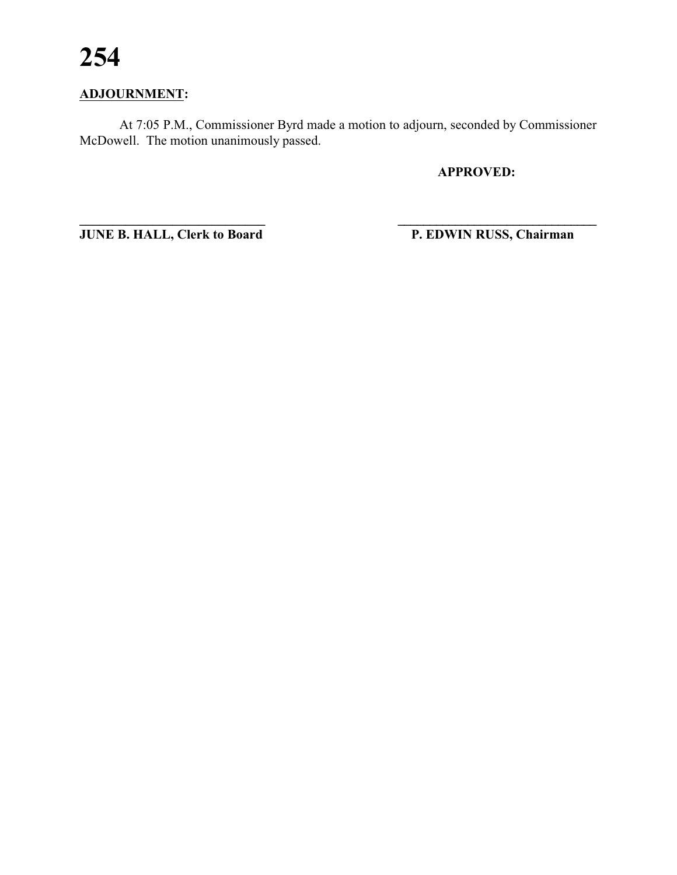# **ADJOURNMENT:**

At 7:05 P.M., Commissioner Byrd made a motion to adjourn, seconded by Commissioner McDowell. The motion unanimously passed.

**\_\_\_\_\_\_\_\_\_\_\_\_\_\_\_\_\_\_\_\_\_\_\_\_\_\_\_\_ \_\_\_\_\_\_\_\_\_\_\_\_\_\_\_\_\_\_\_\_\_\_\_\_\_\_\_\_\_\_\_**

**APPROVED:**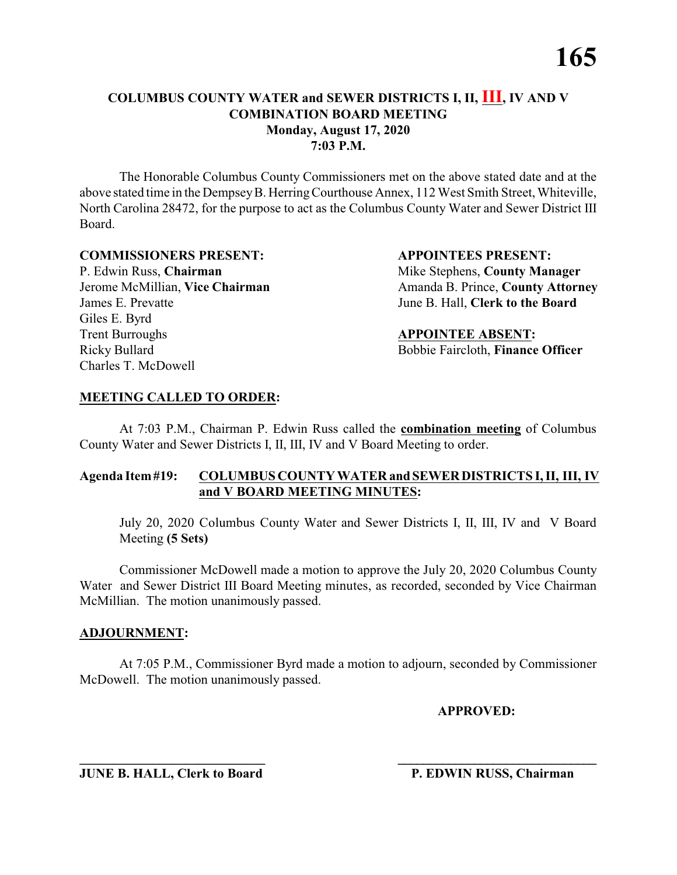The Honorable Columbus County Commissioners met on the above stated date and at the above stated time in the DempseyB. HerringCourthouse Annex, 112 West Smith Street, Whiteville, North Carolina 28472, for the purpose to act as the Columbus County Water and Sewer District III Board.

#### **COMMISSIONERS PRESENT: APPOINTEES PRESENT:**

P. Edwin Russ, **Chairman** Mike Stephens, **County Manager** James E. Prevatte June B. Hall, **Clerk to the Board** Giles E. Byrd **Trent Burroughs APPOINTEE ABSENT:** Ricky Bullard Bobbie Faircloth, **Finance Officer** Charles T. McDowell

Jerome McMillian, Vice Chairman Amanda B. Prince, County Attorney

### **MEETING CALLED TO ORDER:**

At 7:03 P.M., Chairman P. Edwin Russ called the **combination meeting** of Columbus County Water and Sewer Districts I, II, III, IV and V Board Meeting to order.

### **Agenda Item#19: COLUMBUS COUNTY WATER andSEWERDISTRICTS I, II, III, IV and V BOARD MEETING MINUTES:**

July 20, 2020 Columbus County Water and Sewer Districts I, II, III, IV and V Board Meeting **(5 Sets)**

Commissioner McDowell made a motion to approve the July 20, 2020 Columbus County Water and Sewer District III Board Meeting minutes, as recorded, seconded by Vice Chairman McMillian. The motion unanimously passed.

#### **ADJOURNMENT:**

At 7:05 P.M., Commissioner Byrd made a motion to adjourn, seconded by Commissioner McDowell. The motion unanimously passed.

**\_\_\_\_\_\_\_\_\_\_\_\_\_\_\_\_\_\_\_\_\_\_\_\_\_\_\_\_ \_\_\_\_\_\_\_\_\_\_\_\_\_\_\_\_\_\_\_\_\_\_\_\_\_\_\_\_\_\_\_**

**APPROVED:**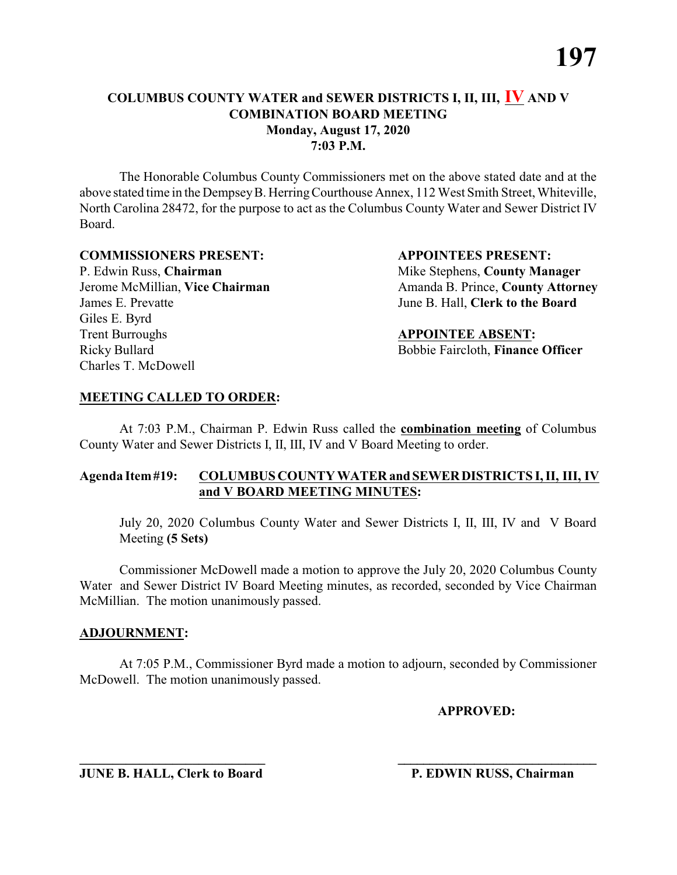The Honorable Columbus County Commissioners met on the above stated date and at the above stated time in the DempseyB. HerringCourthouse Annex, 112 West Smith Street, Whiteville, North Carolina 28472, for the purpose to act as the Columbus County Water and Sewer District IV Board.

#### **COMMISSIONERS PRESENT: APPOINTEES PRESENT:**

P. Edwin Russ, **Chairman** Mike Stephens, **County Manager** James E. Prevatte June B. Hall, **Clerk to the Board** Giles E. Byrd **Trent Burroughs APPOINTEE ABSENT:** Ricky Bullard Bobbie Faircloth, **Finance Officer** Charles T. McDowell

Jerome McMillian, Vice Chairman Amanda B. Prince, County Attorney

### **MEETING CALLED TO ORDER:**

At 7:03 P.M., Chairman P. Edwin Russ called the **combination meeting** of Columbus County Water and Sewer Districts I, II, III, IV and V Board Meeting to order.

### **Agenda Item#19: COLUMBUS COUNTY WATER andSEWERDISTRICTS I, II, III, IV and V BOARD MEETING MINUTES:**

July 20, 2020 Columbus County Water and Sewer Districts I, II, III, IV and V Board Meeting **(5 Sets)**

Commissioner McDowell made a motion to approve the July 20, 2020 Columbus County Water and Sewer District IV Board Meeting minutes, as recorded, seconded by Vice Chairman McMillian. The motion unanimously passed.

#### **ADJOURNMENT:**

At 7:05 P.M., Commissioner Byrd made a motion to adjourn, seconded by Commissioner McDowell. The motion unanimously passed.

**\_\_\_\_\_\_\_\_\_\_\_\_\_\_\_\_\_\_\_\_\_\_\_\_\_\_\_\_ \_\_\_\_\_\_\_\_\_\_\_\_\_\_\_\_\_\_\_\_\_\_\_\_\_\_\_\_\_\_\_**

**APPROVED:**